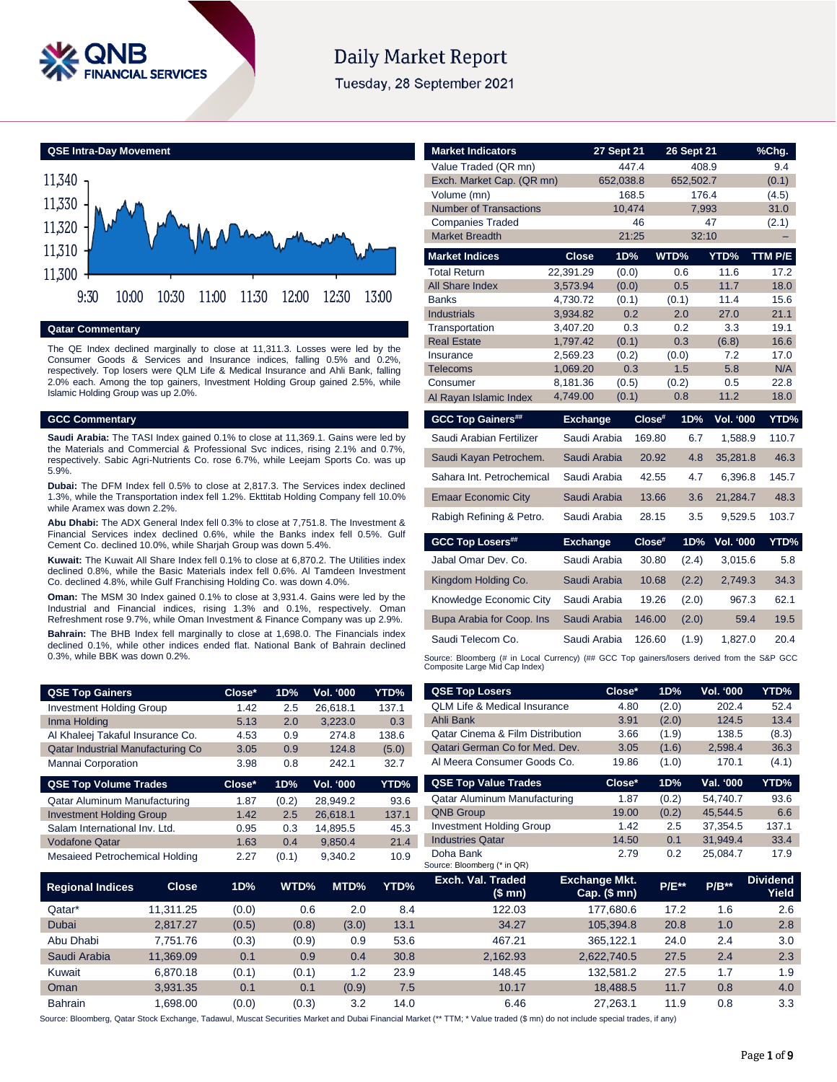

# **Daily Market Report**

Tuesday, 28 September 2021

**QSE Intra-Day Movement**



# **Qatar Commentary**

The QE Index declined marginally to close at 11,311.3. Losses were led by the Consumer Goods & Services and Insurance indices, falling 0.5% and 0.2%, respectively. Top losers were QLM Life & Medical Insurance and Ahli Bank, falling 2.0% each. Among the top gainers, Investment Holding Group gained 2.5%, while Islamic Holding Group was up 2.0%.

### **GCC Commentary**

**Saudi Arabia:** The TASI Index gained 0.1% to close at 11,369.1. Gains were led by the Materials and Commercial & Professional Svc indices, rising 2.1% and 0.7%, respectively. Sabic Agri-Nutrients Co. rose 6.7%, while Leejam Sports Co. was up 5.9%.

**Dubai:** The DFM Index fell 0.5% to close at 2,817.3. The Services index declined 1.3%, while the Transportation index fell 1.2%. Ekttitab Holding Company fell 10.0% while Aramex was down 2.2%.

**Abu Dhabi:** The ADX General Index fell 0.3% to close at 7,751.8. The Investment & Financial Services index declined 0.6%, while the Banks index fell 0.5%. Gulf Cement Co. declined 10.0%, while Sharjah Group was down 5.4%.

**Kuwait:** The Kuwait All Share Index fell 0.1% to close at 6,870.2. The Utilities index declined 0.8%, while the Basic Materials index fell 0.6%. Al Tamdeen Investment Co. declined 4.8%, while Gulf Franchising Holding Co. was down 4.0%.

**Oman:** The MSM 30 Index gained 0.1% to close at 3,931.4. Gains were led by the Industrial and Financial indices, rising 1.3% and 0.1%, respectively. Oman Refreshment rose 9.7%, while Oman Investment & Finance Company was up 2.9%.

**Bahrain:** The BHB Index fell marginally to close at 1,698.0. The Financials index declined 0.1%, while other indices ended flat. National Bank of Bahrain declined 0.3%, while BBK was down 0.2%.

| Value Traded (QR mn)                                                                                                          |                 | 447.4     |        | 408.9     | 9.4                      |
|-------------------------------------------------------------------------------------------------------------------------------|-----------------|-----------|--------|-----------|--------------------------|
| Exch. Market Cap. (QR mn)                                                                                                     |                 | 652,038.8 |        | 652,502.7 | (0.1)                    |
| Volume (mn)                                                                                                                   |                 | 168.5     |        | 176.4     | (4.5)                    |
| <b>Number of Transactions</b>                                                                                                 |                 | 10,474    |        | 7,993     | 31.0                     |
| <b>Companies Traded</b>                                                                                                       |                 | 46        |        | 47        | (2.1)                    |
| <b>Market Breadth</b>                                                                                                         |                 | 21:25     |        | 32:10     |                          |
| <b>Market Indices</b>                                                                                                         | <b>Close</b>    | 1D%       | WTD%   | YTD%      | TTM P/E                  |
| <b>Total Return</b>                                                                                                           | 22,391.29       | (0.0)     | 0.6    | 11.6      | 17.2                     |
| All Share Index                                                                                                               | 3,573.94        | (0.0)     | 0.5    | 11.7      | 18.0                     |
| <b>Banks</b>                                                                                                                  | 4,730.72        | (0.1)     | (0.1)  | 11.4      | 15.6                     |
| <b>Industrials</b>                                                                                                            | 3,934.82        | 0.2       | 2.0    | 27.0      | 21.1                     |
| Transportation                                                                                                                | 3,407.20        | 0.3       | 0.2    | 3.3       | 19.1                     |
| <b>Real Estate</b>                                                                                                            | 1,797.42        | (0.1)     | 0.3    | (6.8)     | 16.6                     |
| Insurance                                                                                                                     | 2,569.23        | (0.2)     | (0.0)  | 7.2       | 17.0                     |
| <b>Telecoms</b>                                                                                                               | 1,069.20        | 0.3       | 1.5    | 5.8       | N/A                      |
| Consumer                                                                                                                      | 8,181.36        | (0.5)     | (0.2)  | 0.5       | 22.8                     |
| Al Rayan Islamic Index                                                                                                        | 4.749.00        | (0.1)     | 0.8    | 11.2      | 18.0                     |
| <b>GCC Top Gainers##</b>                                                                                                      | <b>Exchange</b> |           | Close# | 1D%       | <b>Vol. '000</b><br>YTD% |
| Saudi Arabian Fertilizer                                                                                                      | Saudi Arabia    |           | 169.80 | 6.7       | 1,588.9<br>110.7         |
| Saudi Kayan Petrochem.                                                                                                        | Saudi Arabia    |           | 20.92  | 4.8       | 35,281.8<br>46.3         |
| Sahara Int. Petrochemical                                                                                                     | Saudi Arabia    |           | 42.55  | 4.7       | 6,396.8<br>145.7         |
| <b>Emaar Economic City</b>                                                                                                    | Saudi Arabia    |           | 13.66  | 3.6       | 21,284.7<br>48.3         |
| Rabigh Refining & Petro.                                                                                                      | Saudi Arabia    |           | 28.15  | 3.5       | 103.7<br>9,529.5         |
| <b>GCC Top Losers##</b>                                                                                                       | <b>Exchange</b> |           | Close# | 1D%       | Vol. '000<br>YTD%        |
| Jabal Omar Dev. Co.                                                                                                           | Saudi Arabia    |           | 30.80  | (2.4)     | 3,015.6<br>5.8           |
| Kingdom Holding Co.                                                                                                           | Saudi Arabia    |           | 10.68  | (2.2)     | 2,749.3<br>34.3          |
| Knowledge Economic City                                                                                                       | Saudi Arabia    |           | 19.26  | (2.0)     | 62.1<br>967.3            |
| Bupa Arabia for Coop. Ins                                                                                                     | Saudi Arabia    |           | 146.00 | (2.0)     | 59.4<br>19.5             |
| Saudi Telecom Co.                                                                                                             | Saudi Arabia    |           | 126.60 | (1.9)     | 20.4<br>1,827.0          |
| Source: Bloomberg (# in Local Currency) (## GCC Top gainers/losers derived from the S&P GCC<br>Composite Large Mid Cap Index) |                 |           |        |           |                          |

**Market Indicators 27 Sept 21 26 Sept 21 %Chg.**

| <b>QSE Top Gainers</b>                   | Close* | 1D% | <b>Vol. '000</b> | YTD%  |
|------------------------------------------|--------|-----|------------------|-------|
| <b>Investment Holding Group</b>          | 1.42   | 2.5 | 26.618.1         | 137.1 |
| Inma Holding                             | 5.13   | 2.0 | 3.223.0          | 0.3   |
| Al Khaleej Takaful Insurance Co.         | 4.53   | 0.9 | 274.8            | 138.6 |
| <b>Qatar Industrial Manufacturing Co</b> | 3.05   | 0.9 | 124.8            | (5.0) |
| Mannai Corporation                       | 3.98   | 0.8 | 242.1            | 32.7  |

| <b>QSE Top Volume Trades</b>    | Close* | 1D%   | <b>Vol. '000</b> | YTD%  |
|---------------------------------|--------|-------|------------------|-------|
| Qatar Aluminum Manufacturing    | 1.87   | (0.2) | 28.949.2         | 93.6  |
| <b>Investment Holding Group</b> | 1.42   | 2.5   | 26.618.1         | 137.1 |
| Salam International Inv. Ltd.   | 0.95   | 0.3   | 14.895.5         | 45.3  |
| <b>Vodafone Qatar</b>           | 1.63   | 0.4   | 9.850.4          | 21.4  |
| Mesaieed Petrochemical Holding  | 2.27   | (0.1) | 9.340.2          | 10.9  |

| Exch. Val. Traded                           | Exchange Mkt. | $D/E**$ | $D/D**$   | <b>Dividend</b> |
|---------------------------------------------|---------------|---------|-----------|-----------------|
| Source: Bloomberg (* in QR)                 |               |         |           |                 |
| Doha Bank                                   | 2.79          | 0.2     | 25.084.7  | 17.9            |
| <b>Industries Qatar</b>                     | 14.50         | 0.1     | 31.949.4  | 33.4            |
| <b>Investment Holding Group</b>             | 1.42          | 2.5     | 37.354.5  | 137.1           |
| <b>QNB Group</b>                            | 19.00         | (0.2)   | 45.544.5  | 6.6             |
| Qatar Aluminum Manufacturing                | 1.87          | (0.2)   | 54.740.7  | 93.6            |
| <b>QSE Top Value Trades</b>                 | Close*        | 1D%     | Val. '000 | YTD%            |
| Al Meera Consumer Goods Co.                 | 19.86         | (1.0)   | 170.1     | (4.1)           |
| Qatari German Co for Med. Dev.              | 3.05          | (1.6)   | 2,598.4   | 36.3            |
| <b>Oatar Cinema &amp; Film Distribution</b> | 3.66          | (1.9)   | 138.5     | (8.3)           |
| Ahli Bank                                   | 3.91          | (2.0)   | 124.5     | 13.4            |
| <b>QLM Life &amp; Medical Insurance</b>     | 4.80          | (2.0)   | 202.4     | 52.4            |

**QSE Top Losers Close\* 1D% Vol. '000 YTD%**

| <b>Regional Indices</b> | <b>Close</b> | 1D%   | WTD%  | MTD%  | YTD% | Exch. Val. Traded<br>(\$ mn) | <b>Exchange Mkt.</b><br>Cap. $($$ mn $)$ | <b>P/E**</b> | $P/B**$ | <b>Dividend</b><br>Yield |
|-------------------------|--------------|-------|-------|-------|------|------------------------------|------------------------------------------|--------------|---------|--------------------------|
| Qatar*                  | 11.311.25    | (0.0) | 0.6   | 2.0   | 8.4  | 122.03                       | 177.680.6                                | 17.2         | 1.6     | 2.6                      |
| <b>Dubai</b>            | 2.817.27     | (0.5) | (0.8) | (3.0) | 13.1 | 34.27                        | 105.394.8                                | 20.8         | 1.0     | 2.8                      |
| Abu Dhabi               | 7.751.76     | (0.3) | (0.9) | 0.9   | 53.6 | 467.21                       | 365.122.1                                | 24.0         | 2.4     | 3.0                      |
| Saudi Arabia            | 11.369.09    | 0.1   | 0.9   | 0.4   | 30.8 | 2.162.93                     | 2.622.740.5                              | 27.5         | 2.4     | 2.3                      |
| Kuwait                  | 6.870.18     | (0.1) | (0.1) | 1.2   | 23.9 | 148.45                       | 132.581.2                                | 27.5         | 1.7     | 1.9                      |
| Oman                    | 3.931.35     | 0.1   | 0.1   | (0.9) | 7.5  | 10.17                        | 18.488.5                                 | 11.7         | 0.8     | 4.0                      |
| <b>Bahrain</b>          | .698.00      | (0.0) | (0.3) | 3.2   | 14.0 | 6.46                         | 27.263.1                                 | 11.9         | 0.8     | 3.3                      |

Source: Bloomberg, Qatar Stock Exchange, Tadawul, Muscat Securities Market and Dubai Financial Market (\*\* TTM; \* Value traded (\$ mn) do not include special trades, if any)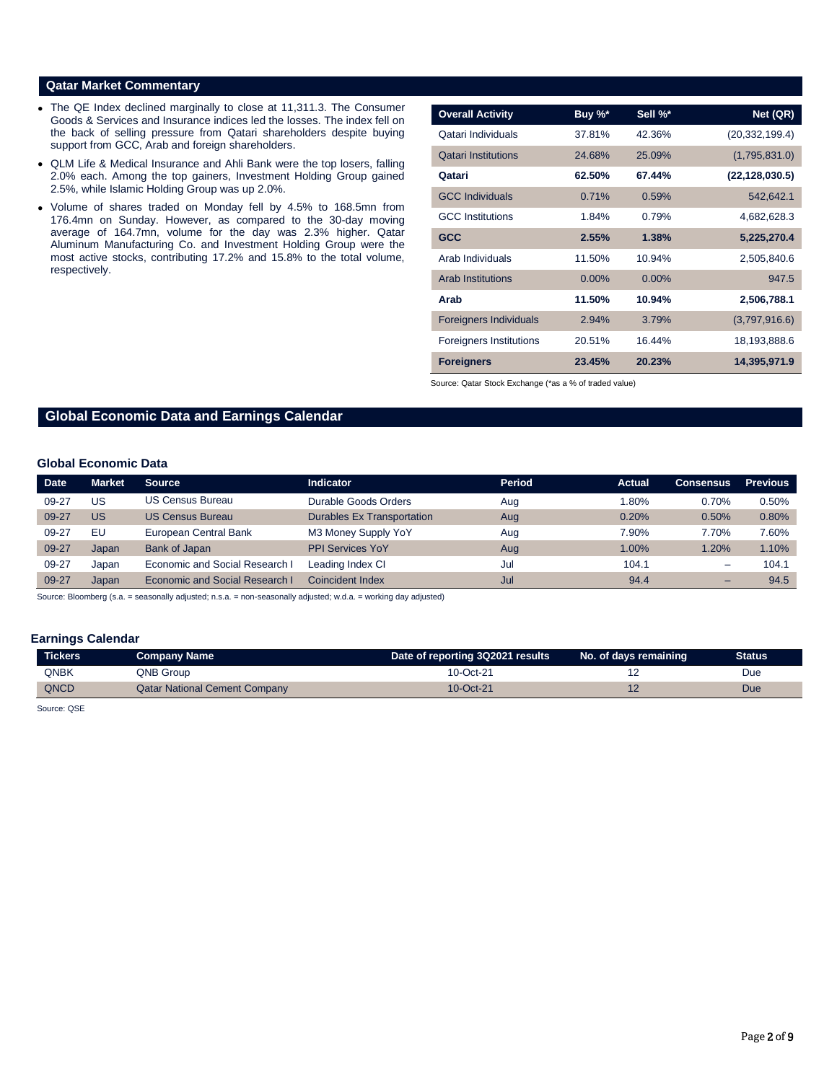### **Qatar Market Commentary**

- The QE Index declined marginally to close at 11,311.3. The Consumer Goods & Services and Insurance indices led the losses. The index fell on the back of selling pressure from Qatari shareholders despite buying support from GCC, Arab and foreign shareholders.
- QLM Life & Medical Insurance and Ahli Bank were the top losers, falling 2.0% each. Among the top gainers, Investment Holding Group gained 2.5%, while Islamic Holding Group was up 2.0%.
- Volume of shares traded on Monday fell by 4.5% to 168.5mn from 176.4mn on Sunday. However, as compared to the 30-day moving average of 164.7mn, volume for the day was 2.3% higher. Qatar Aluminum Manufacturing Co. and Investment Holding Group were the most active stocks, contributing 17.2% and 15.8% to the total volume, respectively.

| <b>Overall Activity</b>        | Buy %*   | Sell %*  | Net (QR)         |
|--------------------------------|----------|----------|------------------|
| Qatari Individuals             | 37.81%   | 42.36%   | (20, 332, 199.4) |
| <b>Qatari Institutions</b>     | 24.68%   | 25.09%   | (1,795,831.0)    |
| Qatari                         | 62.50%   | 67.44%   | (22, 128, 030.5) |
| <b>GCC Individuals</b>         | 0.71%    | 0.59%    | 542,642.1        |
| <b>GCC</b> Institutions        | 1.84%    | 0.79%    | 4,682,628.3      |
| <b>GCC</b>                     | 2.55%    | 1.38%    | 5,225,270.4      |
| Arab Individuals               | 11.50%   | 10.94%   | 2,505,840.6      |
| <b>Arab Institutions</b>       | $0.00\%$ | $0.00\%$ | 947.5            |
| Arab                           | 11.50%   | 10.94%   | 2,506,788.1      |
| <b>Foreigners Individuals</b>  | 2.94%    | 3.79%    | (3,797,916.6)    |
| <b>Foreigners Institutions</b> | 20.51%   | 16.44%   | 18,193,888.6     |
| <b>Foreigners</b>              | 23.45%   | 20.23%   | 14,395,971.9     |

Source: Qatar Stock Exchange (\*as a % of traded value)

## **Global Economic Data and Earnings Calendar**

#### **Global Economic Data**

| <b>Date</b> | Market | <b>Source</b>                  | <b>Indicator</b>                  | <b>Period</b> | <b>Actual</b> | <b>Consensus</b> | <b>Previous</b> |
|-------------|--------|--------------------------------|-----------------------------------|---------------|---------------|------------------|-----------------|
| $09 - 27$   | US.    | <b>US Census Bureau</b>        | Durable Goods Orders              | Aug           | $1.80\%$      | 0.70%            | 0.50%           |
| $09 - 27$   | US     | <b>US Census Bureau</b>        | <b>Durables Ex Transportation</b> | Aug           | 0.20%         | 0.50%            | 0.80%           |
| $09 - 27$   | EU     | European Central Bank          | M3 Money Supply YoY               | Aug           | 7.90%         | 7.70%            | 7.60%           |
| 09-27       | Japan  | Bank of Japan                  | <b>PPI Services YoY</b>           | Aug           | 1.00%         | 1.20%            | 1.10%           |
| 09-27       | Japan  | Economic and Social Research I | Leading Index CI                  | Jul           | 104.1         | -                | 104.1           |
| 09-27       | Japan  | Economic and Social Research I | <b>Coincident Index</b>           | Jul           | 94.4          | -                | 94.5            |

Source: Bloomberg (s.a. = seasonally adjusted; n.s.a. = non-seasonally adjusted; w.d.a. = working day adjusted)

#### **Earnings Calendar**

| <b>Tickers</b> | Company Name                         | Date of reporting 3Q2021 results | No. of days remaining | <b>Status</b> |
|----------------|--------------------------------------|----------------------------------|-----------------------|---------------|
| QNBK           | QNB Group                            | 10-Oct-21                        |                       | Due           |
| QNCD           | <b>Qatar National Cement Company</b> | 10-Oct-21                        |                       | Due           |

Source: QSE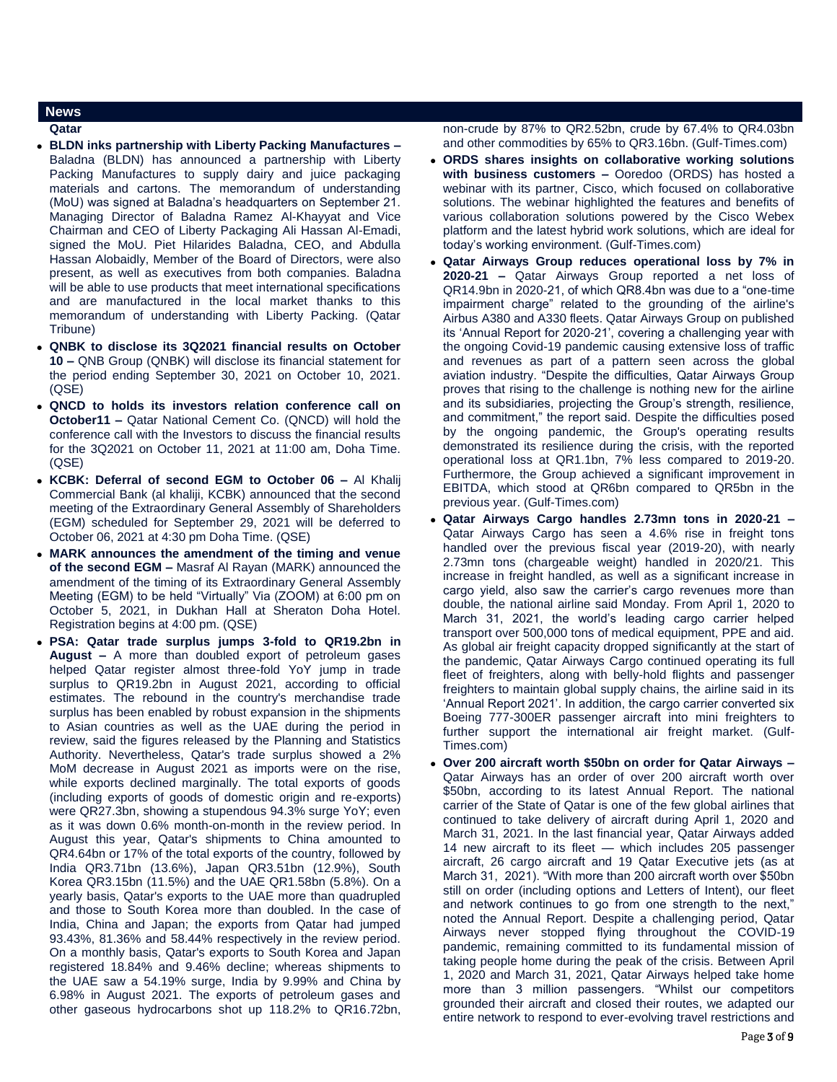# **News Qatar**

- **BLDN inks partnership with Liberty Packing Manufactures –** Baladna (BLDN) has announced a partnership with Liberty Packing Manufactures to supply dairy and juice packaging materials and cartons. The memorandum of understanding (MoU) was signed at Baladna's headquarters on September 21. Managing Director of Baladna Ramez Al-Khayyat and Vice Chairman and CEO of Liberty Packaging Ali Hassan Al-Emadi, signed the MoU. Piet Hilarides Baladna, CEO, and Abdulla Hassan Alobaidly, Member of the Board of Directors, were also present, as well as executives from both companies. Baladna will be able to use products that meet international specifications and are manufactured in the local market thanks to this memorandum of understanding with Liberty Packing. (Qatar Tribune)
- **QNBK to disclose its 3Q2021 financial results on October 10 –** QNB Group (QNBK) will disclose its financial statement for the period ending September 30, 2021 on October 10, 2021. (QSE)
- **QNCD to holds its investors relation conference call on October11 –** Qatar National Cement Co. (QNCD) will hold the conference call with the Investors to discuss the financial results for the 3Q2021 on October 11, 2021 at 11:00 am, Doha Time. (QSE)
- **KCBK: Deferral of second EGM to October 06 –** Al Khalij Commercial Bank (al khaliji, KCBK) announced that the second meeting of the Extraordinary General Assembly of Shareholders (EGM) scheduled for September 29, 2021 will be deferred to October 06, 2021 at 4:30 pm Doha Time. (QSE)
- **MARK announces the amendment of the timing and venue of the second EGM –** Masraf Al Rayan (MARK) announced the amendment of the timing of its Extraordinary General Assembly Meeting (EGM) to be held "Virtually" Via (ZOOM) at 6:00 pm on October 5, 2021, in Dukhan Hall at Sheraton Doha Hotel. Registration begins at 4:00 pm. (QSE)
- **PSA: Qatar trade surplus jumps 3-fold to QR19.2bn in August –** A more than doubled export of petroleum gases helped Qatar register almost three-fold YoY jump in trade surplus to QR19.2bn in August 2021, according to official estimates. The rebound in the country's merchandise trade surplus has been enabled by robust expansion in the shipments to Asian countries as well as the UAE during the period in review, said the figures released by the Planning and Statistics Authority. Nevertheless, Qatar's trade surplus showed a 2% MoM decrease in August 2021 as imports were on the rise, while exports declined marginally. The total exports of goods (including exports of goods of domestic origin and re-exports) were QR27.3bn, showing a stupendous 94.3% surge YoY; even as it was down 0.6% month-on-month in the review period. In August this year, Qatar's shipments to China amounted to QR4.64bn or 17% of the total exports of the country, followed by India QR3.71bn (13.6%), Japan QR3.51bn (12.9%), South Korea QR3.15bn (11.5%) and the UAE QR1.58bn (5.8%). On a yearly basis, Qatar's exports to the UAE more than quadrupled and those to South Korea more than doubled. In the case of India, China and Japan; the exports from Qatar had jumped 93.43%, 81.36% and 58.44% respectively in the review period. On a monthly basis, Qatar's exports to South Korea and Japan registered 18.84% and 9.46% decline; whereas shipments to the UAE saw a 54.19% surge, India by 9.99% and China by 6.98% in August 2021. The exports of petroleum gases and other gaseous hydrocarbons shot up 118.2% to QR16.72bn,

non-crude by 87% to QR2.52bn, crude by 67.4% to QR4.03bn and other commodities by 65% to QR3.16bn. (Gulf-Times.com)

- **ORDS shares insights on collaborative working solutions with business customers –** Ooredoo (ORDS) has hosted a webinar with its partner, Cisco, which focused on collaborative solutions. The webinar highlighted the features and benefits of various collaboration solutions powered by the Cisco Webex platform and the latest hybrid work solutions, which are ideal for today's working environment. (Gulf-Times.com)
- **Qatar Airways Group reduces operational loss by 7% in 2020-21 –** Qatar Airways Group reported a net loss of QR14.9bn in 2020-21, of which QR8.4bn was due to a "one-time impairment charge" related to the grounding of the airline's Airbus A380 and A330 fleets. Qatar Airways Group on published its 'Annual Report for 2020-21', covering a challenging year with the ongoing Covid-19 pandemic causing extensive loss of traffic and revenues as part of a pattern seen across the global aviation industry. "Despite the difficulties, Qatar Airways Group proves that rising to the challenge is nothing new for the airline and its subsidiaries, projecting the Group's strength, resilience, and commitment," the report said. Despite the difficulties posed by the ongoing pandemic, the Group's operating results demonstrated its resilience during the crisis, with the reported operational loss at QR1.1bn, 7% less compared to 2019-20. Furthermore, the Group achieved a significant improvement in EBITDA, which stood at QR6bn compared to QR5bn in the previous year. (Gulf-Times.com)
- **Qatar Airways Cargo handles 2.73mn tons in 2020-21 –** Qatar Airways Cargo has seen a 4.6% rise in freight tons handled over the previous fiscal year (2019-20), with nearly 2.73mn tons (chargeable weight) handled in 2020/21. This increase in freight handled, as well as a significant increase in cargo yield, also saw the carrier's cargo revenues more than double, the national airline said Monday. From April 1, 2020 to March 31, 2021, the world's leading cargo carrier helped transport over 500,000 tons of medical equipment, PPE and aid. As global air freight capacity dropped significantly at the start of the pandemic, Qatar Airways Cargo continued operating its full fleet of freighters, along with belly-hold flights and passenger freighters to maintain global supply chains, the airline said in its 'Annual Report 2021'. In addition, the cargo carrier converted six Boeing 777-300ER passenger aircraft into mini freighters to further support the international air freight market. (Gulf-Times.com)
- **Over 200 aircraft worth \$50bn on order for Qatar Airways –** Qatar Airways has an order of over 200 aircraft worth over \$50bn, according to its latest Annual Report. The national carrier of the State of Qatar is one of the few global airlines that continued to take delivery of aircraft during April 1, 2020 and March 31, 2021. In the last financial year, Qatar Airways added 14 new aircraft to its fleet — which includes 205 passenger aircraft, 26 cargo aircraft and 19 Qatar Executive jets (as at March 31, 2021). "With more than 200 aircraft worth over \$50bn still on order (including options and Letters of Intent), our fleet and network continues to go from one strength to the next," noted the Annual Report. Despite a challenging period, Qatar Airways never stopped flying throughout the COVID-19 pandemic, remaining committed to its fundamental mission of taking people home during the peak of the crisis. Between April 1, 2020 and March 31, 2021, Qatar Airways helped take home more than 3 million passengers. "Whilst our competitors grounded their aircraft and closed their routes, we adapted our entire network to respond to ever-evolving travel restrictions and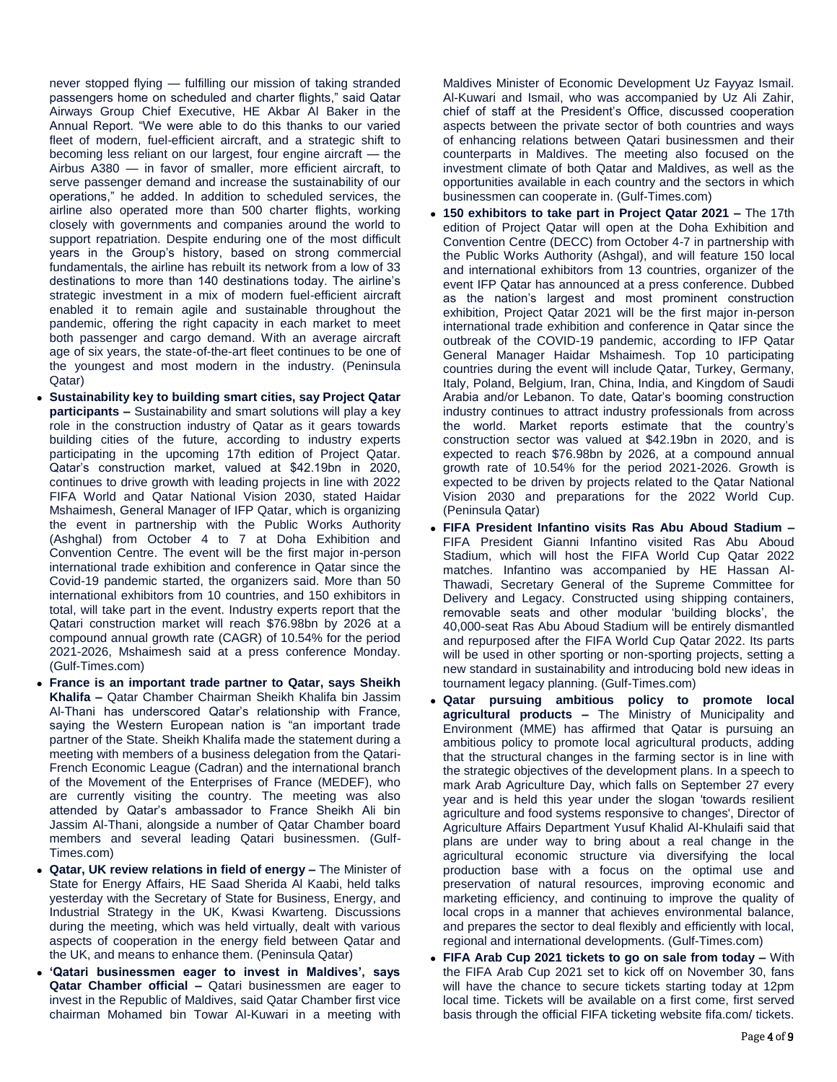never stopped flying — fulfilling our mission of taking stranded passengers home on scheduled and charter flights," said Qatar Airways Group Chief Executive, HE Akbar Al Baker in the Annual Report. "We were able to do this thanks to our varied fleet of modern, fuel-efficient aircraft, and a strategic shift to becoming less reliant on our largest, four engine aircraft — the Airbus A380 — in favor of smaller, more efficient aircraft, to serve passenger demand and increase the sustainability of our operations," he added. In addition to scheduled services, the airline also operated more than 500 charter flights, working closely with governments and companies around the world to support repatriation. Despite enduring one of the most difficult years in the Group's history, based on strong commercial fundamentals, the airline has rebuilt its network from a low of 33 destinations to more than 140 destinations today. The airline's strategic investment in a mix of modern fuel-efficient aircraft enabled it to remain agile and sustainable throughout the pandemic, offering the right capacity in each market to meet both passenger and cargo demand. With an average aircraft age of six years, the state-of-the-art fleet continues to be one of the youngest and most modern in the industry. (Peninsula Qatar)

- **Sustainability key to building smart cities, say Project Qatar participants –** Sustainability and smart solutions will play a key role in the construction industry of Qatar as it gears towards building cities of the future, according to industry experts participating in the upcoming 17th edition of Project Qatar. Qatar's construction market, valued at \$42.19bn in 2020, continues to drive growth with leading projects in line with 2022 FIFA World and Qatar National Vision 2030, stated Haidar Mshaimesh, General Manager of IFP Qatar, which is organizing the event in partnership with the Public Works Authority (Ashghal) from October 4 to 7 at Doha Exhibition and Convention Centre. The event will be the first major in-person international trade exhibition and conference in Qatar since the Covid-19 pandemic started, the organizers said. More than 50 international exhibitors from 10 countries, and 150 exhibitors in total, will take part in the event. Industry experts report that the Qatari construction market will reach \$76.98bn by 2026 at a compound annual growth rate (CAGR) of 10.54% for the period 2021-2026, Mshaimesh said at a press conference Monday. (Gulf-Times.com)
- **France is an important trade partner to Qatar, says Sheikh Khalifa –** Qatar Chamber Chairman Sheikh Khalifa bin Jassim Al-Thani has underscored Qatar's relationship with France, saying the Western European nation is "an important trade partner of the State. Sheikh Khalifa made the statement during a meeting with members of a business delegation from the Qatari-French Economic League (Cadran) and the international branch of the Movement of the Enterprises of France (MEDEF), who are currently visiting the country. The meeting was also attended by Qatar's ambassador to France Sheikh Ali bin Jassim Al-Thani, alongside a number of Qatar Chamber board members and several leading Qatari businessmen. (Gulf-Times.com)
- **Qatar, UK review relations in field of energy –** The Minister of State for Energy Affairs, HE Saad Sherida Al Kaabi, held talks yesterday with the Secretary of State for Business, Energy, and Industrial Strategy in the UK, Kwasi Kwarteng. Discussions during the meeting, which was held virtually, dealt with various aspects of cooperation in the energy field between Qatar and the UK, and means to enhance them. (Peninsula Qatar)
- **'Qatari businessmen eager to invest in Maldives', says Qatar Chamber official –** Qatari businessmen are eager to invest in the Republic of Maldives, said Qatar Chamber first vice chairman Mohamed bin Towar Al-Kuwari in a meeting with

Maldives Minister of Economic Development Uz Fayyaz Ismail. Al-Kuwari and Ismail, who was accompanied by Uz Ali Zahir, chief of staff at the President's Office, discussed cooperation aspects between the private sector of both countries and ways of enhancing relations between Qatari businessmen and their counterparts in Maldives. The meeting also focused on the investment climate of both Qatar and Maldives, as well as the opportunities available in each country and the sectors in which businessmen can cooperate in. (Gulf-Times.com)

- **150 exhibitors to take part in Project Qatar 2021 –** The 17th edition of Project Qatar will open at the Doha Exhibition and Convention Centre (DECC) from October 4-7 in partnership with the Public Works Authority (Ashgal), and will feature 150 local and international exhibitors from 13 countries, organizer of the event IFP Qatar has announced at a press conference. Dubbed as the nation's largest and most prominent construction exhibition, Project Qatar 2021 will be the first major in-person international trade exhibition and conference in Qatar since the outbreak of the COVID-19 pandemic, according to IFP Qatar General Manager Haidar Mshaimesh. Top 10 participating countries during the event will include Qatar, Turkey, Germany, Italy, Poland, Belgium, Iran, China, India, and Kingdom of Saudi Arabia and/or Lebanon. To date, Qatar's booming construction industry continues to attract industry professionals from across the world. Market reports estimate that the country's construction sector was valued at \$42.19bn in 2020, and is expected to reach \$76.98bn by 2026, at a compound annual growth rate of 10.54% for the period 2021-2026. Growth is expected to be driven by projects related to the Qatar National Vision 2030 and preparations for the 2022 World Cup. (Peninsula Qatar)
- **FIFA President Infantino visits Ras Abu Aboud Stadium –** FIFA President Gianni Infantino visited Ras Abu Aboud Stadium, which will host the FIFA World Cup Qatar 2022 matches. Infantino was accompanied by HE Hassan Al-Thawadi, Secretary General of the Supreme Committee for Delivery and Legacy. Constructed using shipping containers, removable seats and other modular 'building blocks', the 40,000-seat Ras Abu Aboud Stadium will be entirely dismantled and repurposed after the FIFA World Cup Qatar 2022. Its parts will be used in other sporting or non-sporting projects, setting a new standard in sustainability and introducing bold new ideas in tournament legacy planning. (Gulf-Times.com)
- **Qatar pursuing ambitious policy to promote local agricultural products –** The Ministry of Municipality and Environment (MME) has affirmed that Qatar is pursuing an ambitious policy to promote local agricultural products, adding that the structural changes in the farming sector is in line with the strategic objectives of the development plans. In a speech to mark Arab Agriculture Day, which falls on September 27 every year and is held this year under the slogan 'towards resilient agriculture and food systems responsive to changes', Director of Agriculture Affairs Department Yusuf Khalid Al-Khulaifi said that plans are under way to bring about a real change in the agricultural economic structure via diversifying the local production base with a focus on the optimal use and preservation of natural resources, improving economic and marketing efficiency, and continuing to improve the quality of local crops in a manner that achieves environmental balance, and prepares the sector to deal flexibly and efficiently with local, regional and international developments. (Gulf-Times.com)
- **FIFA Arab Cup 2021 tickets to go on sale from today –** With the FIFA Arab Cup 2021 set to kick off on November 30, fans will have the chance to secure tickets starting today at 12pm local time. Tickets will be available on a first come, first served basis through the official FIFA ticketing website fifa.com/ tickets.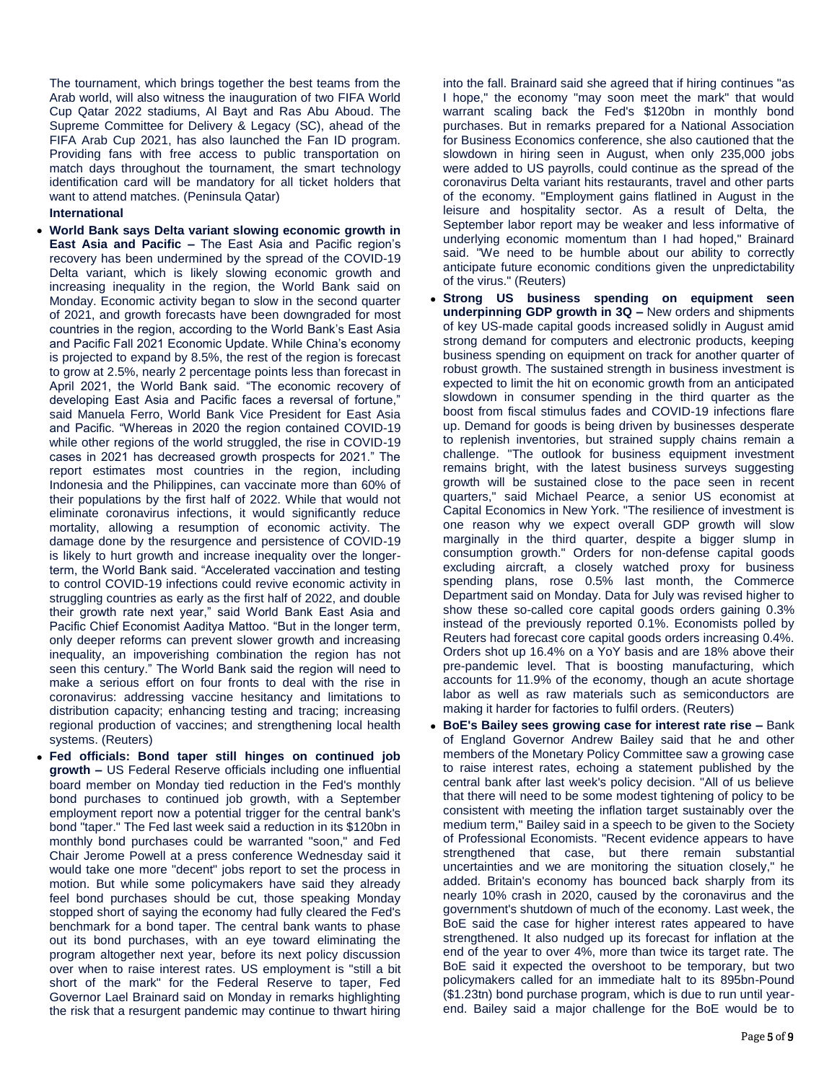The tournament, which brings together the best teams from the Arab world, will also witness the inauguration of two FIFA World Cup Qatar 2022 stadiums, Al Bayt and Ras Abu Aboud. The Supreme Committee for Delivery & Legacy (SC), ahead of the FIFA Arab Cup 2021, has also launched the Fan ID program. Providing fans with free access to public transportation on match days throughout the tournament, the smart technology identification card will be mandatory for all ticket holders that want to attend matches. (Peninsula Qatar)

### **International**

- **World Bank says Delta variant slowing economic growth in East Asia and Pacific –** The East Asia and Pacific region's recovery has been undermined by the spread of the COVID-19 Delta variant, which is likely slowing economic growth and increasing inequality in the region, the World Bank said on Monday. Economic activity began to slow in the second quarter of 2021, and growth forecasts have been downgraded for most countries in the region, according to the World Bank's East Asia and Pacific Fall 2021 Economic Update. While China's economy is projected to expand by 8.5%, the rest of the region is forecast to grow at 2.5%, nearly 2 percentage points less than forecast in April 2021, the World Bank said. "The economic recovery of developing East Asia and Pacific faces a reversal of fortune," said Manuela Ferro, World Bank Vice President for East Asia and Pacific. "Whereas in 2020 the region contained COVID-19 while other regions of the world struggled, the rise in COVID-19 cases in 2021 has decreased growth prospects for 2021." The report estimates most countries in the region, including Indonesia and the Philippines, can vaccinate more than 60% of their populations by the first half of 2022. While that would not eliminate coronavirus infections, it would significantly reduce mortality, allowing a resumption of economic activity. The damage done by the resurgence and persistence of COVID-19 is likely to hurt growth and increase inequality over the longerterm, the World Bank said. "Accelerated vaccination and testing to control COVID-19 infections could revive economic activity in struggling countries as early as the first half of 2022, and double their growth rate next year," said World Bank East Asia and Pacific Chief Economist Aaditya Mattoo. "But in the longer term, only deeper reforms can prevent slower growth and increasing inequality, an impoverishing combination the region has not seen this century." The World Bank said the region will need to make a serious effort on four fronts to deal with the rise in coronavirus: addressing vaccine hesitancy and limitations to distribution capacity; enhancing testing and tracing; increasing regional production of vaccines; and strengthening local health systems. (Reuters)
- **Fed officials: Bond taper still hinges on continued job growth –** US Federal Reserve officials including one influential board member on Monday tied reduction in the Fed's monthly bond purchases to continued job growth, with a September employment report now a potential trigger for the central bank's bond "taper." The Fed last week said a reduction in its \$120bn in monthly bond purchases could be warranted "soon," and Fed Chair Jerome Powell at a press conference Wednesday said it would take one more "decent" jobs report to set the process in motion. But while some policymakers have said they already feel bond purchases should be cut, those speaking Monday stopped short of saying the economy had fully cleared the Fed's benchmark for a bond taper. The central bank wants to phase out its bond purchases, with an eye toward eliminating the program altogether next year, before its next policy discussion over when to raise interest rates. US employment is "still a bit short of the mark" for the Federal Reserve to taper, Fed Governor Lael Brainard said on Monday in remarks highlighting the risk that a resurgent pandemic may continue to thwart hiring

into the fall. Brainard said she agreed that if hiring continues "as I hope," the economy "may soon meet the mark" that would warrant scaling back the Fed's \$120bn in monthly bond purchases. But in remarks prepared for a National Association for Business Economics conference, she also cautioned that the slowdown in hiring seen in August, when only 235,000 jobs were added to US payrolls, could continue as the spread of the coronavirus Delta variant hits restaurants, travel and other parts of the economy. "Employment gains flatlined in August in the leisure and hospitality sector. As a result of Delta, the September labor report may be weaker and less informative of underlying economic momentum than I had hoped," Brainard said. "We need to be humble about our ability to correctly anticipate future economic conditions given the unpredictability of the virus." (Reuters)

- **Strong US business spending on equipment seen underpinning GDP growth in 3Q –** New orders and shipments of key US-made capital goods increased solidly in August amid strong demand for computers and electronic products, keeping business spending on equipment on track for another quarter of robust growth. The sustained strength in business investment is expected to limit the hit on economic growth from an anticipated slowdown in consumer spending in the third quarter as the boost from fiscal stimulus fades and COVID-19 infections flare up. Demand for goods is being driven by businesses desperate to replenish inventories, but strained supply chains remain a challenge. "The outlook for business equipment investment remains bright, with the latest business surveys suggesting growth will be sustained close to the pace seen in recent quarters," said Michael Pearce, a senior US economist at Capital Economics in New York. "The resilience of investment is one reason why we expect overall GDP growth will slow marginally in the third quarter, despite a bigger slump in consumption growth." Orders for non-defense capital goods excluding aircraft, a closely watched proxy for business spending plans, rose 0.5% last month, the Commerce Department said on Monday. Data for July was revised higher to show these so-called core capital goods orders gaining 0.3% instead of the previously reported 0.1%. Economists polled by Reuters had forecast core capital goods orders increasing 0.4%. Orders shot up 16.4% on a YoY basis and are 18% above their pre-pandemic level. That is boosting manufacturing, which accounts for 11.9% of the economy, though an acute shortage labor as well as raw materials such as semiconductors are making it harder for factories to fulfil orders. (Reuters)
- **BoE's Bailey sees growing case for interest rate rise –** Bank of England Governor Andrew Bailey said that he and other members of the Monetary Policy Committee saw a growing case to raise interest rates, echoing a statement published by the central bank after last week's policy decision. "All of us believe that there will need to be some modest tightening of policy to be consistent with meeting the inflation target sustainably over the medium term," Bailey said in a speech to be given to the Society of Professional Economists. "Recent evidence appears to have strengthened that case, but there remain substantial uncertainties and we are monitoring the situation closely," he added. Britain's economy has bounced back sharply from its nearly 10% crash in 2020, caused by the coronavirus and the government's shutdown of much of the economy. Last week, the BoE said the case for higher interest rates appeared to have strengthened. It also nudged up its forecast for inflation at the end of the year to over 4%, more than twice its target rate. The BoE said it expected the overshoot to be temporary, but two policymakers called for an immediate halt to its 895bn-Pound (\$1.23tn) bond purchase program, which is due to run until yearend. Bailey said a major challenge for the BoE would be to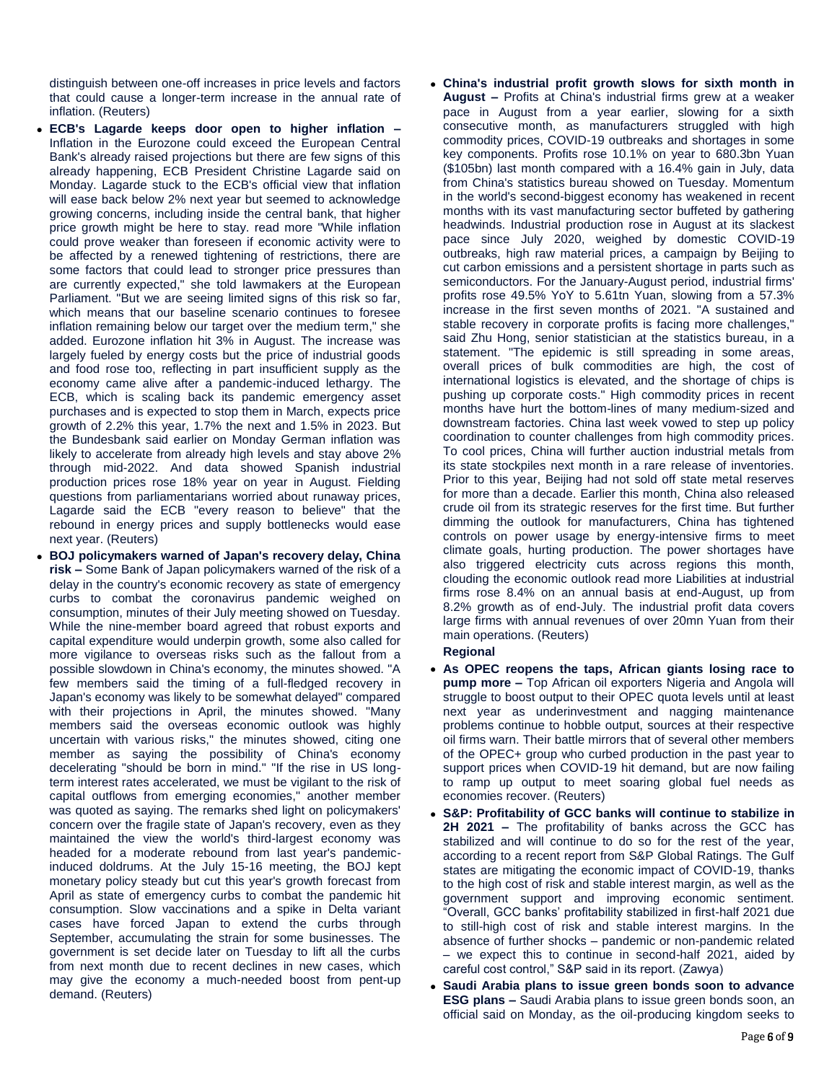distinguish between one-off increases in price levels and factors that could cause a longer-term increase in the annual rate of inflation. (Reuters)

- **ECB's Lagarde keeps door open to higher inflation –** Inflation in the Eurozone could exceed the European Central Bank's already raised projections but there are few signs of this already happening, ECB President Christine Lagarde said on Monday. Lagarde stuck to the ECB's official view that inflation will ease back below 2% next year but seemed to acknowledge growing concerns, including inside the central bank, that higher price growth might be here to stay. read more "While inflation could prove weaker than foreseen if economic activity were to be affected by a renewed tightening of restrictions, there are some factors that could lead to stronger price pressures than are currently expected," she told lawmakers at the European Parliament. "But we are seeing limited signs of this risk so far, which means that our baseline scenario continues to foresee inflation remaining below our target over the medium term," she added. Eurozone inflation hit 3% in August. The increase was largely fueled by energy costs but the price of industrial goods and food rose too, reflecting in part insufficient supply as the economy came alive after a pandemic-induced lethargy. The ECB, which is scaling back its pandemic emergency asset purchases and is expected to stop them in March, expects price growth of 2.2% this year, 1.7% the next and 1.5% in 2023. But the Bundesbank said earlier on Monday German inflation was likely to accelerate from already high levels and stay above 2% through mid-2022. And data showed Spanish industrial production prices rose 18% year on year in August. Fielding questions from parliamentarians worried about runaway prices, Lagarde said the ECB "every reason to believe" that the rebound in energy prices and supply bottlenecks would ease next year. (Reuters)
- **BOJ policymakers warned of Japan's recovery delay, China risk –** Some Bank of Japan policymakers warned of the risk of a delay in the country's economic recovery as state of emergency curbs to combat the coronavirus pandemic weighed on consumption, minutes of their July meeting showed on Tuesday. While the nine-member board agreed that robust exports and capital expenditure would underpin growth, some also called for more vigilance to overseas risks such as the fallout from a possible slowdown in China's economy, the minutes showed. "A few members said the timing of a full-fledged recovery in Japan's economy was likely to be somewhat delayed" compared with their projections in April, the minutes showed. "Many members said the overseas economic outlook was highly uncertain with various risks," the minutes showed, citing one member as saying the possibility of China's economy decelerating "should be born in mind." "If the rise in US longterm interest rates accelerated, we must be vigilant to the risk of capital outflows from emerging economies," another member was quoted as saying. The remarks shed light on policymakers' concern over the fragile state of Japan's recovery, even as they maintained the view the world's third-largest economy was headed for a moderate rebound from last year's pandemicinduced doldrums. At the July 15-16 meeting, the BOJ kept monetary policy steady but cut this year's growth forecast from April as state of emergency curbs to combat the pandemic hit consumption. Slow vaccinations and a spike in Delta variant cases have forced Japan to extend the curbs through September, accumulating the strain for some businesses. The government is set decide later on Tuesday to lift all the curbs from next month due to recent declines in new cases, which may give the economy a much-needed boost from pent-up demand. (Reuters)
- **China's industrial profit growth slows for sixth month in August –** Profits at China's industrial firms grew at a weaker pace in August from a year earlier, slowing for a sixth consecutive month, as manufacturers struggled with high commodity prices, COVID-19 outbreaks and shortages in some key components. Profits rose 10.1% on year to 680.3bn Yuan (\$105bn) last month compared with a 16.4% gain in July, data from China's statistics bureau showed on Tuesday. Momentum in the world's second-biggest economy has weakened in recent months with its vast manufacturing sector buffeted by gathering headwinds. Industrial production rose in August at its slackest pace since July 2020, weighed by domestic COVID-19 outbreaks, high raw material prices, a campaign by Beijing to cut carbon emissions and a persistent shortage in parts such as semiconductors. For the January-August period, industrial firms' profits rose 49.5% YoY to 5.61tn Yuan, slowing from a 57.3% increase in the first seven months of 2021. "A sustained and stable recovery in corporate profits is facing more challenges," said Zhu Hong, senior statistician at the statistics bureau, in a statement. "The epidemic is still spreading in some areas, overall prices of bulk commodities are high, the cost of international logistics is elevated, and the shortage of chips is pushing up corporate costs." High commodity prices in recent months have hurt the bottom-lines of many medium-sized and downstream factories. China last week vowed to step up policy coordination to counter challenges from high commodity prices. To cool prices, China will further auction industrial metals from its state stockpiles next month in a rare release of inventories. Prior to this year, Beijing had not sold off state metal reserves for more than a decade. Earlier this month, China also released crude oil from its strategic reserves for the first time. But further dimming the outlook for manufacturers, China has tightened controls on power usage by energy-intensive firms to meet climate goals, hurting production. The power shortages have also triggered electricity cuts across regions this month, clouding the economic outlook read more Liabilities at industrial firms rose 8.4% on an annual basis at end-August, up from 8.2% growth as of end-July. The industrial profit data covers large firms with annual revenues of over 20mn Yuan from their main operations. (Reuters)
	- **Regional**
- **As OPEC reopens the taps, African giants losing race to pump more –** Top African oil exporters Nigeria and Angola will struggle to boost output to their OPEC quota levels until at least next year as underinvestment and nagging maintenance problems continue to hobble output, sources at their respective oil firms warn. Their battle mirrors that of several other members of the OPEC+ group who curbed production in the past year to support prices when COVID-19 hit demand, but are now failing to ramp up output to meet soaring global fuel needs as economies recover. (Reuters)
- **S&P: Profitability of GCC banks will continue to stabilize in 2H 2021 –** The profitability of banks across the GCC has stabilized and will continue to do so for the rest of the year, according to a recent report from S&P Global Ratings. The Gulf states are mitigating the economic impact of COVID-19, thanks to the high cost of risk and stable interest margin, as well as the government support and improving economic sentiment. "Overall, GCC banks' profitability stabilized in first-half 2021 due to still-high cost of risk and stable interest margins. In the absence of further shocks – pandemic or non-pandemic related – we expect this to continue in second-half 2021, aided by careful cost control," S&P said in its report. (Zawya)
- **Saudi Arabia plans to issue green bonds soon to advance ESG plans –** Saudi Arabia plans to issue green bonds soon, an official said on Monday, as the oil-producing kingdom seeks to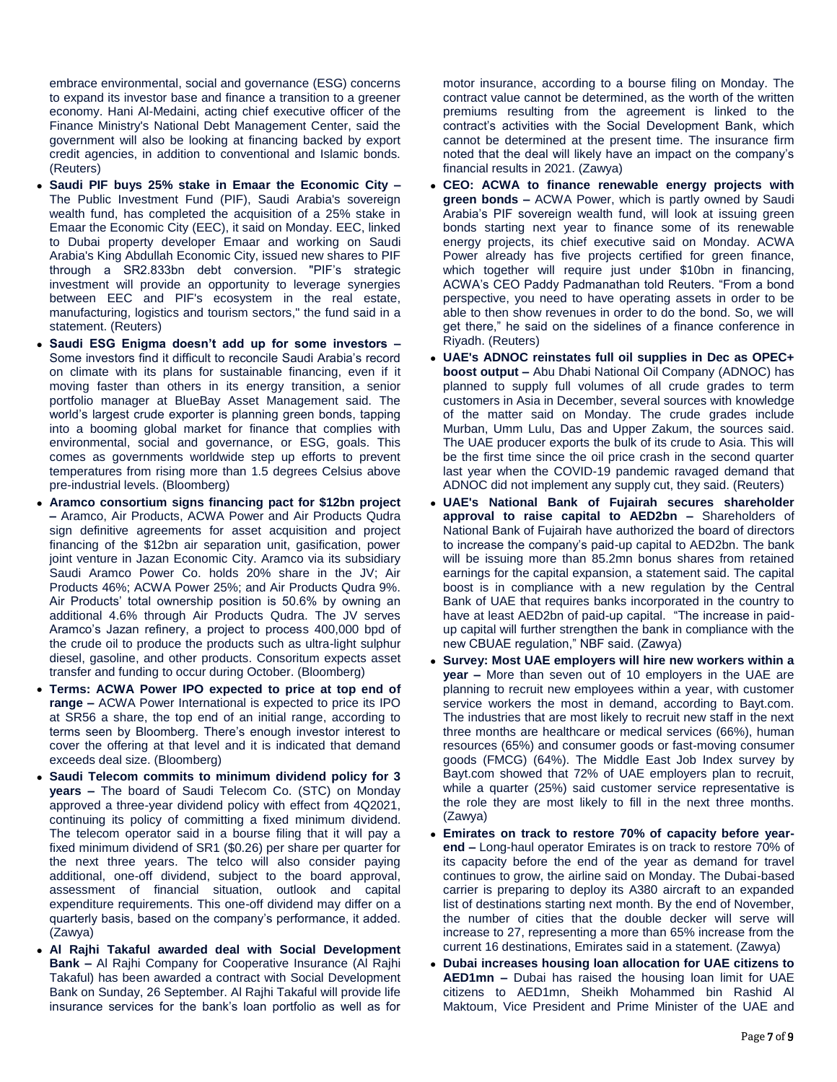embrace environmental, social and governance (ESG) concerns to expand its investor base and finance a transition to a greener economy. Hani Al-Medaini, acting chief executive officer of the Finance Ministry's National Debt Management Center, said the government will also be looking at financing backed by export credit agencies, in addition to conventional and Islamic bonds. (Reuters)

- **Saudi PIF buys 25% stake in Emaar the Economic City –** The Public Investment Fund (PIF), Saudi Arabia's sovereign wealth fund, has completed the acquisition of a 25% stake in Emaar the Economic City (EEC), it said on Monday. EEC, linked to Dubai property developer Emaar and working on Saudi Arabia's King Abdullah Economic City, issued new shares to PIF through a SR2.833bn debt conversion. "PIF's strategic investment will provide an opportunity to leverage synergies between EEC and PIF's ecosystem in the real estate, manufacturing, logistics and tourism sectors," the fund said in a statement. (Reuters)
- **Saudi ESG Enigma doesn't add up for some investors –** Some investors find it difficult to reconcile Saudi Arabia's record on climate with its plans for sustainable financing, even if it moving faster than others in its energy transition, a senior portfolio manager at BlueBay Asset Management said. The world's largest crude exporter is planning green bonds, tapping into a booming global market for finance that complies with environmental, social and governance, or ESG, goals. This comes as governments worldwide step up efforts to prevent temperatures from rising more than 1.5 degrees Celsius above pre-industrial levels. (Bloomberg)
- **Aramco consortium signs financing pact for \$12bn project –** Aramco, Air Products, ACWA Power and Air Products Qudra sign definitive agreements for asset acquisition and project financing of the \$12bn air separation unit, gasification, power joint venture in Jazan Economic City. Aramco via its subsidiary Saudi Aramco Power Co. holds 20% share in the JV; Air Products 46%; ACWA Power 25%; and Air Products Qudra 9%. Air Products' total ownership position is 50.6% by owning an additional 4.6% through Air Products Qudra. The JV serves Aramco's Jazan refinery, a project to process 400,000 bpd of the crude oil to produce the products such as ultra-light sulphur diesel, gasoline, and other products. Consoritum expects asset transfer and funding to occur during October. (Bloomberg)
- **Terms: ACWA Power IPO expected to price at top end of range –** ACWA Power International is expected to price its IPO at SR56 a share, the top end of an initial range, according to terms seen by Bloomberg. There's enough investor interest to cover the offering at that level and it is indicated that demand exceeds deal size. (Bloomberg)
- **Saudi Telecom commits to minimum dividend policy for 3 years –** The board of Saudi Telecom Co. (STC) on Monday approved a three-year dividend policy with effect from 4Q2021, continuing its policy of committing a fixed minimum dividend. The telecom operator said in a bourse filing that it will pay a fixed minimum dividend of SR1 (\$0.26) per share per quarter for the next three years. The telco will also consider paying additional, one-off dividend, subject to the board approval, assessment of financial situation, outlook and capital expenditure requirements. This one-off dividend may differ on a quarterly basis, based on the company's performance, it added. (Zawya)
- **Al Rajhi Takaful awarded deal with Social Development Bank –** Al Rajhi Company for Cooperative Insurance (Al Rajhi Takaful) has been awarded a contract with Social Development Bank on Sunday, 26 September. Al Rajhi Takaful will provide life insurance services for the bank's loan portfolio as well as for

motor insurance, according to a bourse filing on Monday. The contract value cannot be determined, as the worth of the written premiums resulting from the agreement is linked to the contract's activities with the Social Development Bank, which cannot be determined at the present time. The insurance firm noted that the deal will likely have an impact on the company's financial results in 2021. (Zawya)

- **CEO: ACWA to finance renewable energy projects with green bonds –** ACWA Power, which is partly owned by Saudi Arabia's PIF sovereign wealth fund, will look at issuing green bonds starting next year to finance some of its renewable energy projects, its chief executive said on Monday. ACWA Power already has five projects certified for green finance, which together will require just under \$10bn in financing, ACWA's CEO Paddy Padmanathan told Reuters. "From a bond perspective, you need to have operating assets in order to be able to then show revenues in order to do the bond. So, we will get there," he said on the sidelines of a finance conference in Riyadh. (Reuters)
- **UAE's ADNOC reinstates full oil supplies in Dec as OPEC+ boost output –** Abu Dhabi National Oil Company (ADNOC) has planned to supply full volumes of all crude grades to term customers in Asia in December, several sources with knowledge of the matter said on Monday. The crude grades include Murban, Umm Lulu, Das and Upper Zakum, the sources said. The UAE producer exports the bulk of its crude to Asia. This will be the first time since the oil price crash in the second quarter last year when the COVID-19 pandemic ravaged demand that ADNOC did not implement any supply cut, they said. (Reuters)
- **UAE's National Bank of Fujairah secures shareholder approval to raise capital to AED2bn –** Shareholders of National Bank of Fujairah have authorized the board of directors to increase the company's paid-up capital to AED2bn. The bank will be issuing more than 85.2mn bonus shares from retained earnings for the capital expansion, a statement said. The capital boost is in compliance with a new regulation by the Central Bank of UAE that requires banks incorporated in the country to have at least AED2bn of paid-up capital. "The increase in paidup capital will further strengthen the bank in compliance with the new CBUAE regulation," NBF said. (Zawya)
- **Survey: Most UAE employers will hire new workers within a year –** More than seven out of 10 employers in the UAE are planning to recruit new employees within a year, with customer service workers the most in demand, according to Bayt.com. The industries that are most likely to recruit new staff in the next three months are healthcare or medical services (66%), human resources (65%) and consumer goods or fast-moving consumer goods (FMCG) (64%). The Middle East Job Index survey by Bayt.com showed that 72% of UAE employers plan to recruit, while a quarter (25%) said customer service representative is the role they are most likely to fill in the next three months. (Zawya)
- **Emirates on track to restore 70% of capacity before yearend –** Long-haul operator Emirates is on track to restore 70% of its capacity before the end of the year as demand for travel continues to grow, the airline said on Monday. The Dubai-based carrier is preparing to deploy its A380 aircraft to an expanded list of destinations starting next month. By the end of November, the number of cities that the double decker will serve will increase to 27, representing a more than 65% increase from the current 16 destinations, Emirates said in a statement. (Zawya)
- **Dubai increases housing loan allocation for UAE citizens to AED1mn –** Dubai has raised the housing loan limit for UAE citizens to AED1mn, Sheikh Mohammed bin Rashid Al Maktoum, Vice President and Prime Minister of the UAE and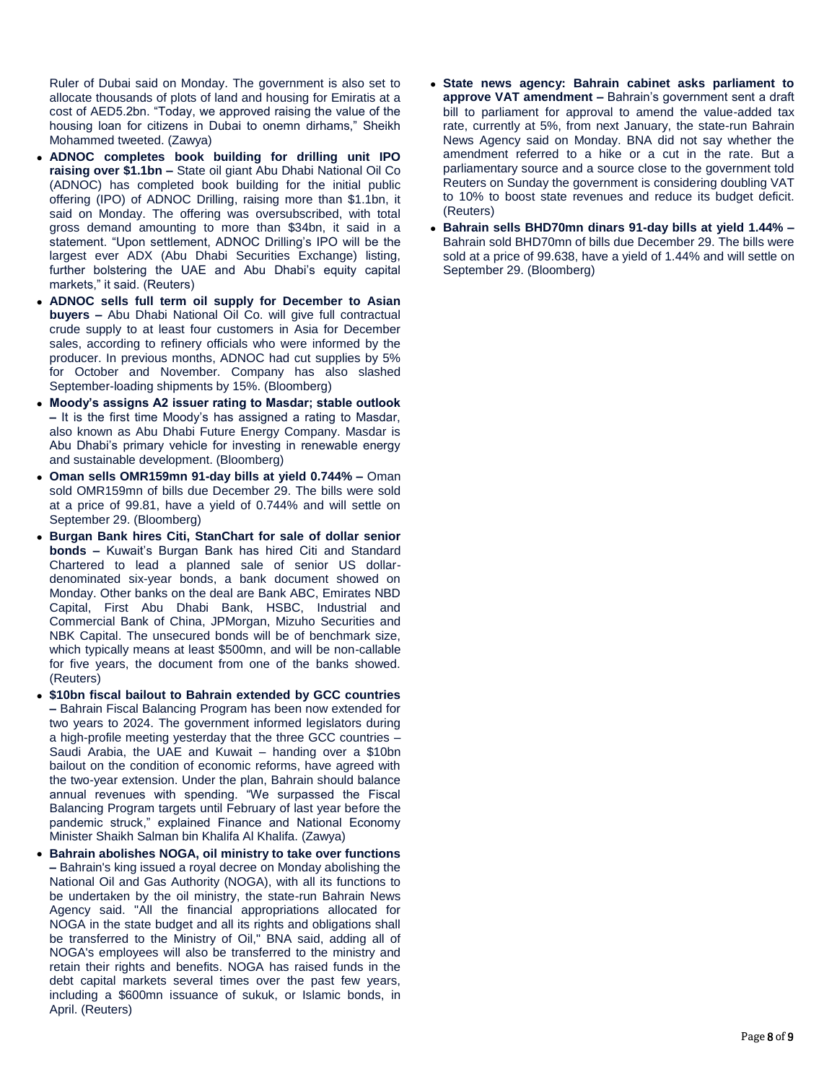Ruler of Dubai said on Monday. The government is also set to allocate thousands of plots of land and housing for Emiratis at a cost of AED5.2bn. "Today, we approved raising the value of the housing loan for citizens in Dubai to onemn dirhams," Sheikh Mohammed tweeted. (Zawya)

- **ADNOC completes book building for drilling unit IPO raising over \$1.1bn –** State oil giant Abu Dhabi National Oil Co (ADNOC) has completed book building for the initial public offering (IPO) of ADNOC Drilling, raising more than \$1.1bn, it said on Monday. The offering was oversubscribed, with total gross demand amounting to more than \$34bn, it said in a statement. "Upon settlement, ADNOC Drilling's IPO will be the largest ever ADX (Abu Dhabi Securities Exchange) listing, further bolstering the UAE and Abu Dhabi's equity capital markets," it said. (Reuters)
- **ADNOC sells full term oil supply for December to Asian buyers –** Abu Dhabi National Oil Co. will give full contractual crude supply to at least four customers in Asia for December sales, according to refinery officials who were informed by the producer. In previous months, ADNOC had cut supplies by 5% for October and November. Company has also slashed September-loading shipments by 15%. (Bloomberg)
- **Moody's assigns A2 issuer rating to Masdar; stable outlook –** It is the first time Moody's has assigned a rating to Masdar, also known as Abu Dhabi Future Energy Company. Masdar is Abu Dhabi's primary vehicle for investing in renewable energy and sustainable development. (Bloomberg)
- **Oman sells OMR159mn 91-day bills at yield 0.744% –** Oman sold OMR159mn of bills due December 29. The bills were sold at a price of 99.81, have a yield of 0.744% and will settle on September 29. (Bloomberg)
- **Burgan Bank hires Citi, StanChart for sale of dollar senior bonds –** Kuwait's Burgan Bank has hired Citi and Standard Chartered to lead a planned sale of senior US dollardenominated six-year bonds, a bank document showed on Monday. Other banks on the deal are Bank ABC, Emirates NBD Capital, First Abu Dhabi Bank, HSBC, Industrial and Commercial Bank of China, JPMorgan, Mizuho Securities and NBK Capital. The unsecured bonds will be of benchmark size, which typically means at least \$500mn, and will be non-callable for five years, the document from one of the banks showed. (Reuters)
- **\$10bn fiscal bailout to Bahrain extended by GCC countries –** Bahrain Fiscal Balancing Program has been now extended for two years to 2024. The government informed legislators during a high-profile meeting yesterday that the three GCC countries – Saudi Arabia, the UAE and Kuwait – handing over a \$10bn bailout on the condition of economic reforms, have agreed with the two-year extension. Under the plan, Bahrain should balance annual revenues with spending. "We surpassed the Fiscal Balancing Program targets until February of last year before the pandemic struck," explained Finance and National Economy Minister Shaikh Salman bin Khalifa Al Khalifa. (Zawya)
- **Bahrain abolishes NOGA, oil ministry to take over functions –** Bahrain's king issued a royal decree on Monday abolishing the National Oil and Gas Authority (NOGA), with all its functions to be undertaken by the oil ministry, the state-run Bahrain News Agency said. "All the financial appropriations allocated for NOGA in the state budget and all its rights and obligations shall be transferred to the Ministry of Oil," BNA said, adding all of NOGA's employees will also be transferred to the ministry and retain their rights and benefits. NOGA has raised funds in the debt capital markets several times over the past few years, including a \$600mn issuance of sukuk, or Islamic bonds, in April. (Reuters)
- **State news agency: Bahrain cabinet asks parliament to approve VAT amendment –** Bahrain's government sent a draft bill to parliament for approval to amend the value-added tax rate, currently at 5%, from next January, the state-run Bahrain News Agency said on Monday. BNA did not say whether the amendment referred to a hike or a cut in the rate. But a parliamentary source and a source close to the government told Reuters on Sunday the government is considering doubling VAT to 10% to boost state revenues and reduce its budget deficit. (Reuters)
- **Bahrain sells BHD70mn dinars 91-day bills at yield 1.44% –** Bahrain sold BHD70mn of bills due December 29. The bills were sold at a price of 99.638, have a yield of 1.44% and will settle on September 29. (Bloomberg)